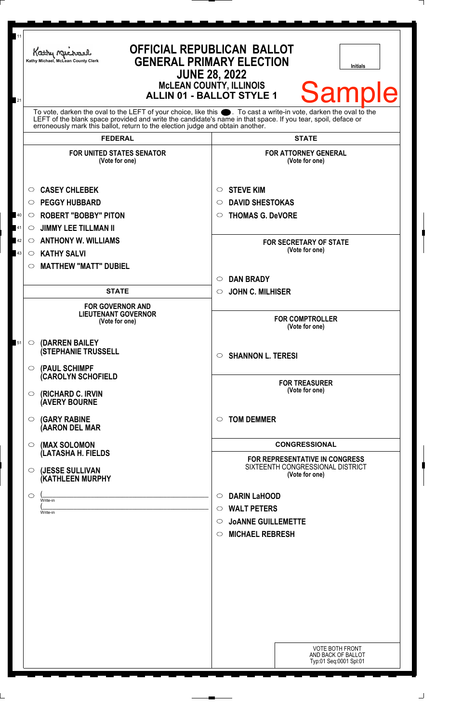| Kathy Michael<br>Kathy Michael, McLean County Clerk                                                                                                                                                                                                                                                                 | <b>OFFICIAL REPUBLICAN BALLOT</b><br><b>GENERAL PRIMARY ELECTION</b><br><b>Initials</b><br><b>JUNE 28, 2022</b><br><b>McLEAN COUNTY, ILLINOIS</b><br><b>Sample</b><br><b>ALLIN 01 - BALLOT STYLE 1</b> |  |
|---------------------------------------------------------------------------------------------------------------------------------------------------------------------------------------------------------------------------------------------------------------------------------------------------------------------|--------------------------------------------------------------------------------------------------------------------------------------------------------------------------------------------------------|--|
| To vote, darken the oval to the LEFT of your choice, like this ●. To cast a write-in vote, darken the oval to the<br>LEFT of the blank space provided and write the candidate's name in that space. If you tear, spoil, deface or<br>erroneously mark this ballot, return to the election judge and obtain another. |                                                                                                                                                                                                        |  |
| <b>FEDERAL</b><br><b>FOR UNITED STATES SENATOR</b><br>(Vote for one)                                                                                                                                                                                                                                                | <b>STATE</b><br><b>FOR ATTORNEY GENERAL</b><br>(Vote for one)                                                                                                                                          |  |
| <b>CASEY CHLEBEK</b><br>O<br><b>PEGGY HUBBARD</b><br>$\circ$<br><b>ROBERT "BOBBY" PITON</b><br>$\circ$<br><b>JIMMY LEE TILLMAN II</b><br>$\circ$<br><b>ANTHONY W. WILLIAMS</b><br>$\circ$<br><b>KATHY SALVI</b><br>$\circ$                                                                                          | <b>STEVE KIM</b><br>$\circ$<br><b>DAVID SHESTOKAS</b><br>◯<br><b>THOMAS G. DeVORE</b><br>O<br><b>FOR SECRETARY OF STATE</b><br>(Vote for one)                                                          |  |
| <b>MATTHEW "MATT" DUBIEL</b><br>$\circ$<br><b>STATE</b><br><b>FOR GOVERNOR AND</b><br><b>LIEUTENANT GOVERNOR</b><br>(Vote for one)                                                                                                                                                                                  | <b>DAN BRADY</b><br>$\bigcirc$<br><b>JOHN C. MILHISER</b><br>$\circ$<br><b>FOR COMPTROLLER</b><br>(Vote for one)                                                                                       |  |
| (DARREN BAILEY<br>$\circ$<br><b>(STEPHANIE TRUSSELL</b><br>(PAUL SCHIMPF<br>$\circ$                                                                                                                                                                                                                                 | <b>SHANNON L. TERESI</b><br>$\circ$                                                                                                                                                                    |  |
| <b>CAROLYN SCHOFIELD</b><br>(RICHARD C. IRVIN<br>$\circ$<br><b>(AVERY BOURNE</b>                                                                                                                                                                                                                                    | <b>FOR TREASURER</b><br>(Vote for one)                                                                                                                                                                 |  |
| <b>(GARY RABINE</b><br>$\circ$<br>(AARON DEL MAR                                                                                                                                                                                                                                                                    | <b>TOM DEMMER</b><br>$\bigcirc$                                                                                                                                                                        |  |
| (MAX SOLOMON<br>$\circ$<br>(LATASHA H. FIELDS<br>(JESSE SULLIVAN<br>$\circ$                                                                                                                                                                                                                                         | <b>CONGRESSIONAL</b><br>FOR REPRESENTATIVE IN CONGRESS<br>SIXTEENTH CONGRESSIONAL DISTRICT<br>(Vote for one)                                                                                           |  |
| (KATHLEEN MURPHY<br>$\circ$<br>Write-in<br>Write-in                                                                                                                                                                                                                                                                 | <b>DARIN LaHOOD</b><br>$\circ$<br><b>WALT PETERS</b><br>$\circ$<br><b>JOANNE GUILLEMETTE</b><br>$\circ$<br><b>MICHAEL REBRESH</b><br>$\circ$                                                           |  |
|                                                                                                                                                                                                                                                                                                                     |                                                                                                                                                                                                        |  |
|                                                                                                                                                                                                                                                                                                                     | <b>VOTE BOTH FRONT</b><br>AND BACK OF BALLOT                                                                                                                                                           |  |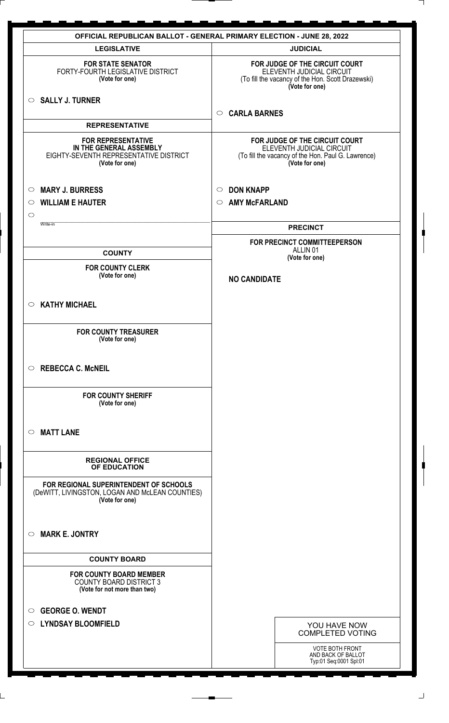|                    | <b>OFFICIAL REPUBLICAN BALLOT - GENERAL PRIMARY ELECTION - JUNE 28, 2022</b>                                     |                                                                                                                                     |  |
|--------------------|------------------------------------------------------------------------------------------------------------------|-------------------------------------------------------------------------------------------------------------------------------------|--|
|                    | <b>LEGISLATIVE</b>                                                                                               | <b>JUDICIAL</b>                                                                                                                     |  |
|                    | <b>FOR STATE SENATOR</b><br>FORTY-FOURTH LEGISLATIVE DISTRICT<br>(Vote for one)                                  | FOR JUDGE OF THE CIRCUIT COURT<br>ELEVENTH JUDICIAL CIRCUIT<br>(To fill the vacancy of the Hon. Scott Drazewski)<br>(Vote for one)  |  |
|                    | $\circ$ SALLY J. TURNER                                                                                          | <b>CARLA BARNES</b><br>$\circ$                                                                                                      |  |
|                    | <b>REPRESENTATIVE</b>                                                                                            |                                                                                                                                     |  |
|                    | <b>FOR REPRESENTATIVE</b><br>IN THE GENERAL ASSEMBLY<br>EIGHTY-SEVENTH REPRESENTATIVE DISTRICT<br>(Vote for one) | FOR JUDGE OF THE CIRCUIT COURT<br>ELEVENTH JUDICIAL CIRCUIT<br>(To fill the vacancy of the Hon. Paul G. Lawrence)<br>(Vote for one) |  |
| $\circ$            | <b>MARY J. BURRESS</b>                                                                                           | <b>DON KNAPP</b><br>$\circ$                                                                                                         |  |
| $\circ$<br>$\circ$ | <b>WILLIAM E HAUTER</b>                                                                                          | <b>AMY McFARLAND</b><br>$\circ$                                                                                                     |  |
|                    | Write-in                                                                                                         | <b>PRECINCT</b>                                                                                                                     |  |
|                    |                                                                                                                  | FOR PRECINCT COMMITTEEPERSON<br>ALLIN <sub>01</sub>                                                                                 |  |
|                    | <b>COUNTY</b>                                                                                                    | (Vote for one)                                                                                                                      |  |
|                    | <b>FOR COUNTY CLERK</b><br>(Vote for one)                                                                        | <b>NO CANDIDATE</b>                                                                                                                 |  |
|                    | $\circ$ KATHY MICHAEL                                                                                            |                                                                                                                                     |  |
|                    | <b>FOR COUNTY TREASURER</b><br>(Vote for one)                                                                    |                                                                                                                                     |  |
|                    | $\circ$ REBECCA C. McNEIL                                                                                        |                                                                                                                                     |  |
|                    | <b>FOR COUNTY SHERIFF</b><br>(Vote for one)                                                                      |                                                                                                                                     |  |
| $\circ$            | <b>MATT LANE</b>                                                                                                 |                                                                                                                                     |  |
|                    | <b>REGIONAL OFFICE</b><br>OF EDUCATION                                                                           |                                                                                                                                     |  |
|                    | FOR REGIONAL SUPERINTENDENT OF SCHOOLS<br>(DeWITT, LIVINGSTON, LOGAN AND McLEAN COUNTIES)<br>(Vote for one)      |                                                                                                                                     |  |
| $\circ$            | <b>MARK E. JONTRY</b>                                                                                            |                                                                                                                                     |  |
|                    | <b>COUNTY BOARD</b>                                                                                              |                                                                                                                                     |  |
|                    | <b>FOR COUNTY BOARD MEMBER</b><br><b>COUNTY BOARD DISTRICT 3</b><br>(Vote for not more than two)                 |                                                                                                                                     |  |
| $\circ$            | <b>GEORGE O. WENDT</b>                                                                                           |                                                                                                                                     |  |
| $\circ$            | <b>LYNDSAY BLOOMFIELD</b>                                                                                        | YOU HAVE NOW<br><b>COMPLETED VOTING</b>                                                                                             |  |
|                    |                                                                                                                  | <b>VOTE BOTH FRONT</b><br>AND BACK OF BALLOT<br>Typ:01 Seq:0001 Spl:01                                                              |  |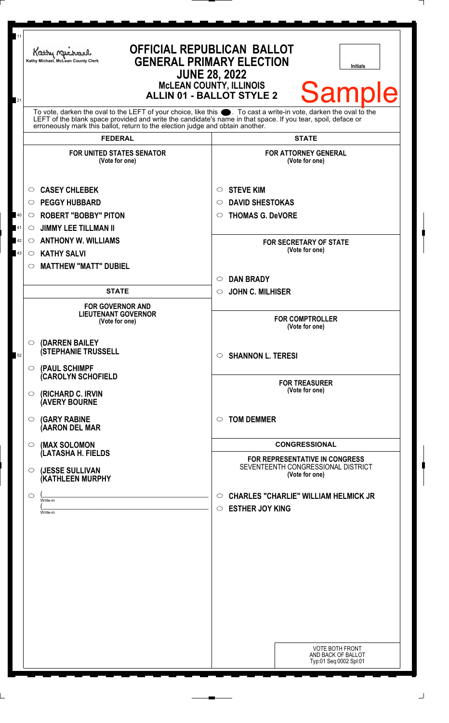| 11       | Kathy Michael<br>Kathy Michael, McLean County Clerk                                                                                                                                                                                                                                                                                                   | <b>OFFICIAL REPUBLICAN BALLOT</b><br><b>GENERAL PRIMARY ELECTION</b><br>Initials<br><b>JUNE 28, 2022</b><br><b>McLEAN COUNTY, ILLINOIS</b> |  |
|----------|-------------------------------------------------------------------------------------------------------------------------------------------------------------------------------------------------------------------------------------------------------------------------------------------------------------------------------------------------------|--------------------------------------------------------------------------------------------------------------------------------------------|--|
| 21       |                                                                                                                                                                                                                                                                                                                                                       | <b>Sample</b><br><b>ALLIN 01 - BALLOT STYLE 2</b>                                                                                          |  |
|          | To vote, darken the oval to the LEFT of your choice, like this ●. To cast a write-in vote, darken the oval to the<br>LEFT of the blank space provided and write the candidate's name in that space. If you tear, spoil, deface or<br>erroneously mark this ballot, return to the election judge and obtain another.<br><b>FEDERAL</b><br><b>STATE</b> |                                                                                                                                            |  |
|          | <b>FOR UNITED STATES SENATOR</b><br>(Vote for one)                                                                                                                                                                                                                                                                                                    | <b>FOR ATTORNEY GENERAL</b><br>(Vote for one)                                                                                              |  |
| 40<br>41 | <b>CASEY CHLEBEK</b><br>$\circ$<br><b>PEGGY HUBBARD</b><br>$\circ$<br><b>ROBERT "BOBBY" PITON</b><br>$\circ$                                                                                                                                                                                                                                          | <b>STEVE KIM</b><br>$\circ$<br><b>DAVID SHESTOKAS</b><br>◯<br><b>THOMAS G. DeVORE</b><br>$\bigcirc$                                        |  |
| 42<br>43 | <b>JIMMY LEE TILLMAN II</b><br>$\circ$<br><b>ANTHONY W. WILLIAMS</b><br>$\circ$<br><b>KATHY SALVI</b><br>$\circ$                                                                                                                                                                                                                                      | <b>FOR SECRETARY OF STATE</b><br>(Vote for one)                                                                                            |  |
|          | <b>MATTHEW "MATT" DUBIEL</b><br>O<br><b>STATE</b>                                                                                                                                                                                                                                                                                                     | <b>DAN BRADY</b><br>$\bigcirc$<br><b>JOHN C. MILHISER</b><br>$\circ$                                                                       |  |
|          | <b>FOR GOVERNOR AND</b><br><b>LIEUTENANT GOVERNOR</b><br>(Vote for one)                                                                                                                                                                                                                                                                               | <b>FOR COMPTROLLER</b><br>(Vote for one)                                                                                                   |  |
| 52       | $\circ$ (DARREN BAILEY<br><b>(STEPHANIE TRUSSELL</b>                                                                                                                                                                                                                                                                                                  | <b>SHANNON L. TERESI</b><br>$\circ$                                                                                                        |  |
|          | $\circ$ (PAUL SCHIMPF<br>(CAROLYN SCHOFIELD<br>$\circ$ (RICHARD C. IRVIN                                                                                                                                                                                                                                                                              | <b>FOR TREASURER</b><br>(Vote for one)                                                                                                     |  |
|          | <b>(AVERY BOURNE</b><br>$\circ$ (GARY RABINE<br>(AARON DEL MAR                                                                                                                                                                                                                                                                                        | <b>TOM DEMMER</b><br>◯                                                                                                                     |  |
|          | $\circ$ (MAX SOLOMON<br>(LATASHA H. FIELDS                                                                                                                                                                                                                                                                                                            | <b>CONGRESSIONAL</b><br>FOR REPRESENTATIVE IN CONGRESS                                                                                     |  |
|          | $\circ$ (JESSE SULLIVAN<br><b>(KATHLEEN MURPHY</b>                                                                                                                                                                                                                                                                                                    | SEVENTEENTH CONGRESSIONAL DISTRICT<br>(Vote for one)                                                                                       |  |
|          | $\circ$<br>Write-in<br>Write-in                                                                                                                                                                                                                                                                                                                       | <b>CHARLES "CHARLIE" WILLIAM HELMICK JR</b><br>$\circ$<br><b>ESTHER JOY KING</b><br>$\circ$                                                |  |
|          |                                                                                                                                                                                                                                                                                                                                                       |                                                                                                                                            |  |
|          |                                                                                                                                                                                                                                                                                                                                                       |                                                                                                                                            |  |
|          |                                                                                                                                                                                                                                                                                                                                                       |                                                                                                                                            |  |
|          |                                                                                                                                                                                                                                                                                                                                                       |                                                                                                                                            |  |
|          |                                                                                                                                                                                                                                                                                                                                                       | <b>VOTE BOTH FRONT</b><br>AND BACK OF BALLOT<br>Typ:01 Seq:0002 Spl:01                                                                     |  |